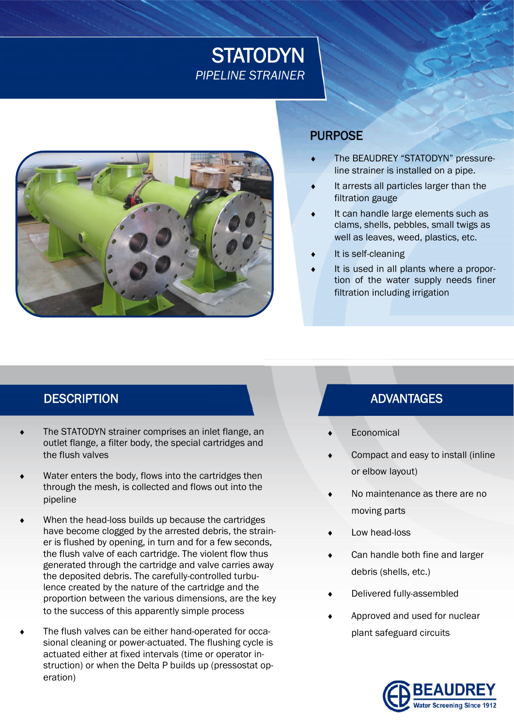# **STATODYN** *PIPELINE STRAINER*



#### PURPOSE

- The BEAUDREY "STATODYN" pressureline strainer is installed on a pipe.
- It arrests all particles larger than the filtration gauge
- It can handle large elements such as clams, shells, pebbles, small twigs as well as leaves, weed, plastics, etc.
- It is self-cleaning
- It is used in all plants where a proportion of the water supply needs finer filtration including irrigation

### DESCRIPTION **ADVANTAGES**

- The STATODYN strainer comprises an inlet flange, an outlet flange, a filter body, the special cartridges and the flush valves
- Water enters the body, flows into the cartridges then through the mesh, is collected and flows out into the pipeline
- When the head-loss builds up because the cartridges have become clogged by the arrested debris, the strainer is flushed by opening, in turn and for a few seconds, the flush valve of each cartridge. The violent flow thus generated through the cartridge and valve carries away the deposited debris. The carefully-controlled turbulence created by the nature of the cartridge and the proportion between the various dimensions, are the key to the success of this apparently simple process
- The flush valves can be either hand-operated for occasional cleaning or power-actuated. The flushing cycle is actuated either at fixed intervals (time or operator instruction) or when the Delta P builds up (pressostat operation)

- Economical
- Compact and easy to install (inline or elbow layout)
- No maintenance as there are no moving parts
- Low head-loss
- Can handle both fine and larger debris (shells, etc.)
- Delivered fully-assembled
- Approved and used for nuclear plant safeguard circuits